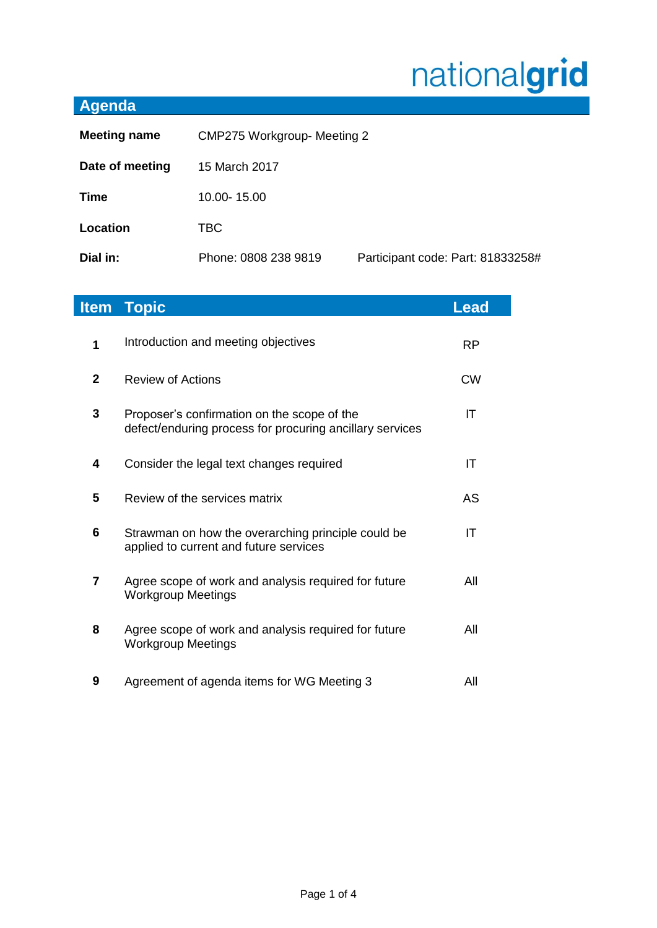# nationalgrid

# **Agenda**

| <b>Meeting name</b> | <b>CMP275 Workgroup- Meeting 2</b> |                                   |
|---------------------|------------------------------------|-----------------------------------|
| Date of meeting     | 15 March 2017                      |                                   |
| <b>Time</b>         | 10.00-15.00                        |                                   |
| Location            | TBC.                               |                                   |
| Dial in:            | Phone: 0808 238 9819               | Participant code: Part: 81833258# |

|                | <b>Item Topic</b>                                                                                       | <b>Lead</b> |
|----------------|---------------------------------------------------------------------------------------------------------|-------------|
| 1              | Introduction and meeting objectives                                                                     | <b>RP</b>   |
| $\overline{2}$ | <b>Review of Actions</b>                                                                                | <b>CW</b>   |
| 3              | Proposer's confirmation on the scope of the<br>defect/enduring process for procuring ancillary services | IT          |
| 4              | Consider the legal text changes required                                                                | IT          |
| 5              | Review of the services matrix                                                                           | AS          |
| 6              | Strawman on how the overarching principle could be<br>applied to current and future services            | IT          |
| $\overline{7}$ | Agree scope of work and analysis required for future<br><b>Workgroup Meetings</b>                       | All         |
| 8              | Agree scope of work and analysis required for future<br><b>Workgroup Meetings</b>                       | All         |
| 9              | Agreement of agenda items for WG Meeting 3                                                              | All         |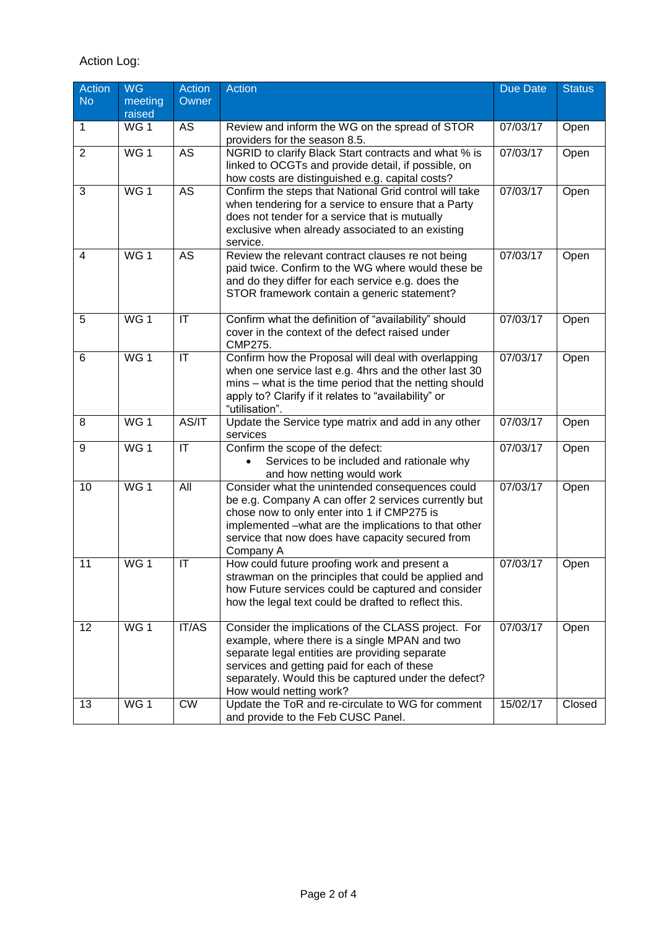## Action Log:

| Action         | <b>WG</b>       | <b>Action</b>                     | <b>Action</b>                                                     | Due Date | <b>Status</b> |
|----------------|-----------------|-----------------------------------|-------------------------------------------------------------------|----------|---------------|
| <b>No</b>      | meeting         | Owner                             |                                                                   |          |               |
|                | raised          |                                   |                                                                   |          |               |
| 1              | WG <sub>1</sub> | AS                                | Review and inform the WG on the spread of STOR                    | 07/03/17 | Open          |
|                |                 |                                   | providers for the season 8.5.                                     |          |               |
| $\overline{2}$ | WG <sub>1</sub> | AS                                | NGRID to clarify Black Start contracts and what % is              | 07/03/17 | Open          |
|                |                 |                                   | linked to OCGTs and provide detail, if possible, on               |          |               |
|                |                 |                                   | how costs are distinguished e.g. capital costs?                   |          |               |
| 3              | WG <sub>1</sub> | $\overline{AS}$                   | Confirm the steps that National Grid control will take            | 07/03/17 | Open          |
|                |                 |                                   | when tendering for a service to ensure that a Party               |          |               |
|                |                 |                                   | does not tender for a service that is mutually                    |          |               |
|                |                 |                                   | exclusive when already associated to an existing                  |          |               |
|                |                 |                                   | service.                                                          |          |               |
| $\overline{4}$ | WG <sub>1</sub> | <b>AS</b>                         | Review the relevant contract clauses re not being                 | 07/03/17 | Open          |
|                |                 |                                   | paid twice. Confirm to the WG where would these be                |          |               |
|                |                 |                                   | and do they differ for each service e.g. does the                 |          |               |
|                |                 |                                   | STOR framework contain a generic statement?                       |          |               |
|                |                 |                                   |                                                                   |          |               |
| 5              | WG <sub>1</sub> | $\mathsf{I}\mathsf{T}$            | Confirm what the definition of "availability" should              | 07/03/17 | Open          |
|                |                 |                                   | cover in the context of the defect raised under<br><b>CMP275.</b> |          |               |
| 6              | WG <sub>1</sub> | $\mathsf{I}\mathsf{T}$            | Confirm how the Proposal will deal with overlapping               | 07/03/17 |               |
|                |                 |                                   | when one service last e.g. 4hrs and the other last 30             |          | Open          |
|                |                 |                                   | mins - what is the time period that the netting should            |          |               |
|                |                 |                                   | apply to? Clarify if it relates to "availability" or              |          |               |
|                |                 |                                   | "utilisation".                                                    |          |               |
| 8              | WG <sub>1</sub> | AS/IT                             | Update the Service type matrix and add in any other               | 07/03/17 | Open          |
|                |                 |                                   | services                                                          |          |               |
| 9              | WG <sub>1</sub> | $\overline{\mathsf{I}\mathsf{T}}$ | Confirm the scope of the defect:                                  | 07/03/17 | Open          |
|                |                 |                                   | Services to be included and rationale why<br>$\bullet$            |          |               |
|                |                 |                                   | and how netting would work                                        |          |               |
| 10             | WG <sub>1</sub> | All                               | Consider what the unintended consequences could                   | 07/03/17 | Open          |
|                |                 |                                   | be e.g. Company A can offer 2 services currently but              |          |               |
|                |                 |                                   | chose now to only enter into 1 if CMP275 is                       |          |               |
|                |                 |                                   | implemented -what are the implications to that other              |          |               |
|                |                 |                                   | service that now does have capacity secured from                  |          |               |
|                |                 |                                   | Company A                                                         |          |               |
| 11             | WG <sub>1</sub> | $\mathsf{I}\mathsf{T}$            | How could future proofing work and present a                      | 07/03/17 | Open          |
|                |                 |                                   | strawman on the principles that could be applied and              |          |               |
|                |                 |                                   | how Future services could be captured and consider                |          |               |
|                |                 |                                   | how the legal text could be drafted to reflect this.              |          |               |
|                |                 |                                   |                                                                   |          |               |
| 12             | WG <sub>1</sub> | <b>IT/AS</b>                      | Consider the implications of the CLASS project. For               | 07/03/17 | Open          |
|                |                 |                                   | example, where there is a single MPAN and two                     |          |               |
|                |                 |                                   | separate legal entities are providing separate                    |          |               |
|                |                 |                                   | services and getting paid for each of these                       |          |               |
|                |                 |                                   | separately. Would this be captured under the defect?              |          |               |
|                | WG <sub>1</sub> | $\overline{\text{CW}}$            | How would netting work?                                           |          |               |
| 13             |                 |                                   | Update the ToR and re-circulate to WG for comment                 | 15/02/17 | Closed        |
|                |                 |                                   | and provide to the Feb CUSC Panel.                                |          |               |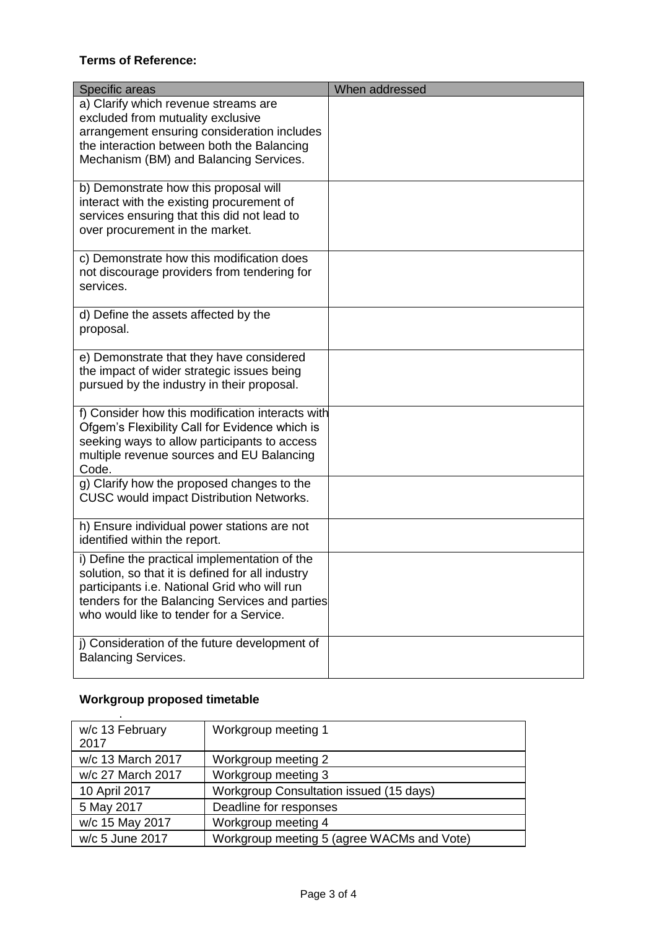#### **Terms of Reference:**

| Specific areas                                                                                                                                                                                                                                 | When addressed |
|------------------------------------------------------------------------------------------------------------------------------------------------------------------------------------------------------------------------------------------------|----------------|
| a) Clarify which revenue streams are<br>excluded from mutuality exclusive<br>arrangement ensuring consideration includes<br>the interaction between both the Balancing<br>Mechanism (BM) and Balancing Services.                               |                |
| b) Demonstrate how this proposal will<br>interact with the existing procurement of<br>services ensuring that this did not lead to<br>over procurement in the market.                                                                           |                |
| c) Demonstrate how this modification does<br>not discourage providers from tendering for<br>services.                                                                                                                                          |                |
| d) Define the assets affected by the<br>proposal.                                                                                                                                                                                              |                |
| e) Demonstrate that they have considered<br>the impact of wider strategic issues being<br>pursued by the industry in their proposal.                                                                                                           |                |
| f) Consider how this modification interacts with<br>Ofgem's Flexibility Call for Evidence which is<br>seeking ways to allow participants to access<br>multiple revenue sources and EU Balancing<br>Code.                                       |                |
| g) Clarify how the proposed changes to the<br><b>CUSC would impact Distribution Networks.</b>                                                                                                                                                  |                |
| h) Ensure individual power stations are not<br>identified within the report.                                                                                                                                                                   |                |
| i) Define the practical implementation of the<br>solution, so that it is defined for all industry<br>participants i.e. National Grid who will run<br>tenders for the Balancing Services and parties<br>who would like to tender for a Service. |                |
| j) Consideration of the future development of<br><b>Balancing Services.</b>                                                                                                                                                                    |                |

## **Workgroup proposed timetable**

| w/c 13 February   | Workgroup meeting 1                        |
|-------------------|--------------------------------------------|
| 2017              |                                            |
| w/c 13 March 2017 | Workgroup meeting 2                        |
| w/c 27 March 2017 | Workgroup meeting 3                        |
| 10 April 2017     | Workgroup Consultation issued (15 days)    |
| 5 May 2017        | Deadline for responses                     |
| w/c 15 May 2017   | Workgroup meeting 4                        |
| w/c 5 June 2017   | Workgroup meeting 5 (agree WACMs and Vote) |